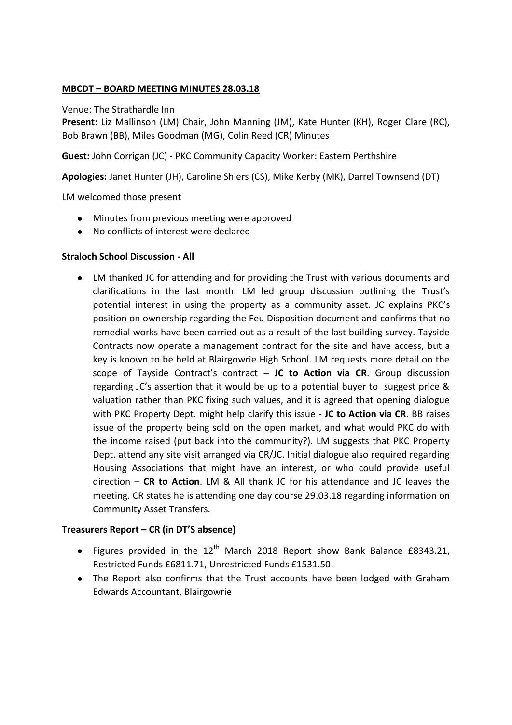## **MBCDT – BOARD MEETING MINUTES 28.03.18**

#### Venue: The Strathardle Inn

**Present:** Liz Mallinson (LM) Chair, John Manning (JM), Kate Hunter (KH), Roger Clare (RC), Bob Brawn (BB), Miles Goodman (MG), Colin Reed (CR) Minutes

**Guest:** John Corrigan (JC) - PKC Community Capacity Worker: Eastern Perthshire

**Apologies:** Janet Hunter (JH), Caroline Shiers (CS), Mike Kerby (MK), Darrel Townsend (DT)

LM welcomed those present

- Minutes from previous meeting were approved
- No conflicts of interest were declared

### **Straloch School Discussion - All**

LM thanked JC for attending and for providing the Trust with various documents and  $\bullet$ clarifications in the last month. LM led group discussion outlining the Trust's potential interest in using the property as a community asset. JC explains PKC's position on ownership regarding the Feu Disposition document and confirms that no remedial works have been carried out as a result of the last building survey. Tayside Contracts now operate a management contract for the site and have access, but a key is known to be held at Blairgowrie High School. LM requests more detail on the scope of Tayside Contract's contract – **JC to Action via CR**. Group discussion regarding JC's assertion that it would be up to a potential buyer to suggest price & valuation rather than PKC fixing such values, and it is agreed that opening dialogue with PKC Property Dept. might help clarify this issue - **JC to Action via CR**. BB raises issue of the property being sold on the open market, and what would PKC do with the income raised (put back into the community?). LM suggests that PKC Property Dept. attend any site visit arranged via CR/JC. Initial dialogue also required regarding Housing Associations that might have an interest, or who could provide useful direction – **CR to Action**. LM & All thank JC for his attendance and JC leaves the meeting. CR states he is attending one day course 29.03.18 regarding information on Community Asset Transfers.

### **Treasurers Report – CR (in DT'S absence)**

- Figures provided in the  $12^{th}$  March 2018 Report show Bank Balance £8343.21, Restricted Funds £6811.71, Unrestricted Funds £1531.50.
- The Report also confirms that the Trust accounts have been lodged with Graham Edwards Accountant, Blairgowrie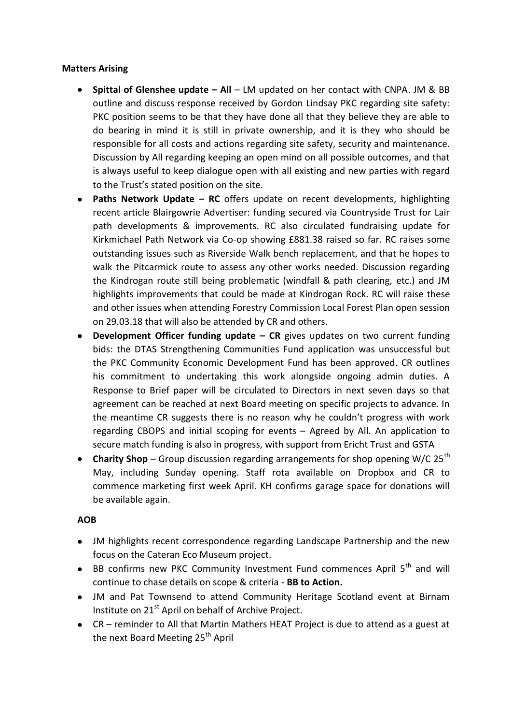# **Matters Arising**

- **Spittal of Glenshee update – All** LM updated on her contact with CNPA. JM & BB outline and discuss response received by Gordon Lindsay PKC regarding site safety: PKC position seems to be that they have done all that they believe they are able to do bearing in mind it is still in private ownership, and it is they who should be responsible for all costs and actions regarding site safety, security and maintenance. Discussion by All regarding keeping an open mind on all possible outcomes, and that is always useful to keep dialogue open with all existing and new parties with regard to the Trust's stated position on the site.
- **Paths Network Update – RC** offers update on recent developments, highlighting recent article Blairgowrie Advertiser: funding secured via Countryside Trust for Lair path developments & improvements. RC also circulated fundraising update for Kirkmichael Path Network via Co-op showing £881.38 raised so far. RC raises some outstanding issues such as Riverside Walk bench replacement, and that he hopes to walk the Pitcarmick route to assess any other works needed. Discussion regarding the Kindrogan route still being problematic (windfall & path clearing, etc.) and JM highlights improvements that could be made at Kindrogan Rock. RC will raise these and other issues when attending Forestry Commission Local Forest Plan open session on 29.03.18 that will also be attended by CR and others.
- **Development Officer funding update CR** gives updates on two current funding bids: the DTAS Strengthening Communities Fund application was unsuccessful but the PKC Community Economic Development Fund has been approved. CR outlines his commitment to undertaking this work alongside ongoing admin duties. A Response to Brief paper will be circulated to Directors in next seven days so that agreement can be reached at next Board meeting on specific projects to advance. In the meantime CR suggests there is no reason why he couldn't progress with work regarding CBOPS and initial scoping for events – Agreed by All. An application to secure match funding is also in progress, with support from Ericht Trust and GSTA
- **Charity Shop** Group discussion regarding arrangements for shop opening W/C 25<sup>th</sup> May, including Sunday opening. Staff rota available on Dropbox and CR to commence marketing first week April. KH confirms garage space for donations will be available again.

### **AOB**

- JM highlights recent correspondence regarding Landscape Partnership and the new focus on the Cateran Eco Museum project.
- **BB confirms new PKC Community Investment Fund commences April**  $5<sup>th</sup>$  **and will** continue to chase details on scope & criteria - **BB to Action.**
- JM and Pat Townsend to attend Community Heritage Scotland event at Birnam Institute on 21<sup>st</sup> April on behalf of Archive Project.
- CR reminder to All that Martin Mathers HEAT Project is due to attend as a guest at the next Board Meeting 25<sup>th</sup> April